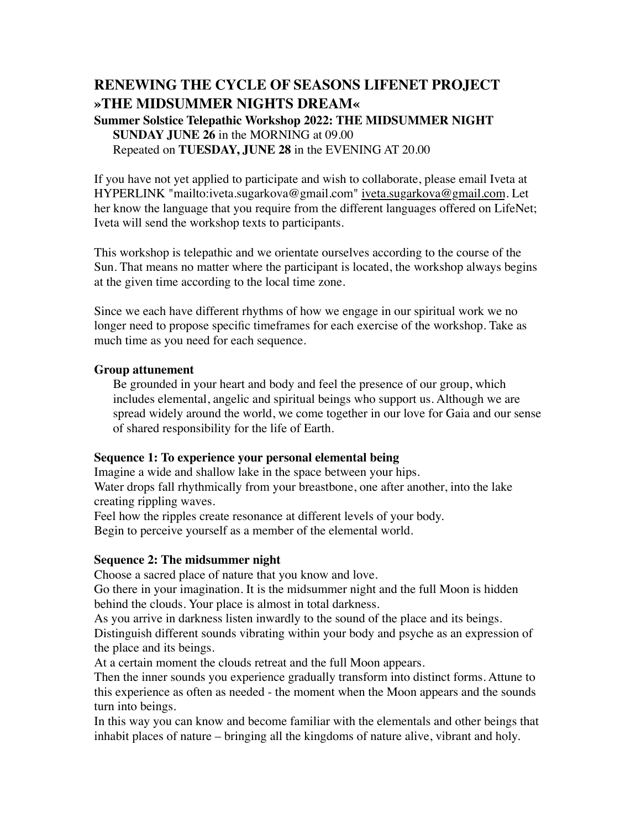# **RENEWING THE CYCLE OF SEASONS LIFENET PROJECT »THE MIDSUMMER NIGHTS DREAM«**

**Summer Solstice Telepathic Workshop 2022: THE MIDSUMMER NIGHT SUNDAY JUNE 26** in the MORNING at 09.00 Repeated on **TUESDAY, JUNE 28** in the EVENING AT 20.00

If you have not yet applied to participate and wish to collaborate, please email Iveta at HYPERLINK "mailto:iveta.sugarkova@gmail.com" iveta.sugarkova@gmail.com. Let her know the language that you require from the different languages offered on LifeNet; Iveta will send the workshop texts to participants.

This workshop is telepathic and we orientate ourselves according to the course of the Sun. That means no matter where the participant is located, the workshop always begins at the given time according to the local time zone.

Since we each have different rhythms of how we engage in our spiritual work we no longer need to propose specific timeframes for each exercise of the workshop. Take as much time as you need for each sequence.

#### **Group attunement**

Be grounded in your heart and body and feel the presence of our group, which includes elemental, angelic and spiritual beings who support us. Although we are spread widely around the world, we come together in our love for Gaia and our sense of shared responsibility for the life of Earth.

### **Sequence 1: To experience your personal elemental being**

Imagine a wide and shallow lake in the space between your hips. Water drops fall rhythmically from your breastbone, one after another, into the lake creating rippling waves.

Feel how the ripples create resonance at different levels of your body. Begin to perceive yourself as a member of the elemental world.

#### **Sequence 2: The midsummer night**

Choose a sacred place of nature that you know and love.

Go there in your imagination. It is the midsummer night and the full Moon is hidden behind the clouds. Your place is almost in total darkness.

As you arrive in darkness listen inwardly to the sound of the place and its beings.

Distinguish different sounds vibrating within your body and psyche as an expression of the place and its beings.

At a certain moment the clouds retreat and the full Moon appears.

Then the inner sounds you experience gradually transform into distinct forms. Attune to this experience as often as needed - the moment when the Moon appears and the sounds turn into beings.

In this way you can know and become familiar with the elementals and other beings that inhabit places of nature – bringing all the kingdoms of nature alive, vibrant and holy.